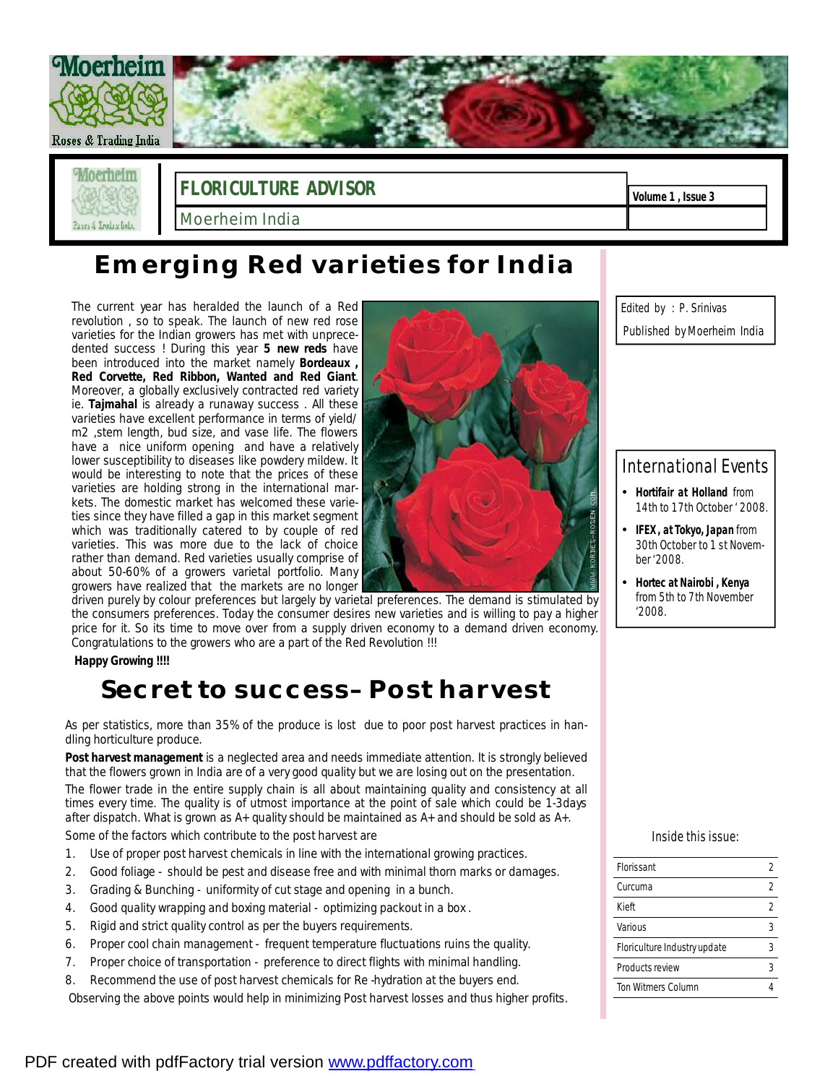

## **Emerging Red varieties for India**

The current year has heralded the launch of a Red revolution , so to speak. The launch of new red rose varieties for the Indian growers has met with unprecedented success ! During this year **5 new reds** have been introduced into the market namely **Bordeaux , Red Corvette, Red Ribbon, Wanted and Red Giant**. Moreover, a globally exclusively contracted red variety ie. *Tajmahal* is already a runaway success . All these varieties have excellent performance in terms of yield/ m2 ,stem length, bud size, and vase life. The flowers have a nice uniform opening and have a relatively lower susceptibility to diseases like powdery mildew. It would be interesting to note that the prices of these varieties are holding strong in the international markets. The domestic market has welcomed these varieties since they have filled a gap in this market segment which was traditionally catered to by couple of red varieties. This was more due to the lack of choice rather than demand. Red varieties usually comprise of about 50-60% of a growers varietal portfolio. Many growers have realized that the markets are no longer

driven purely by colour preferences but largely by varietal preferences. The demand is stimulated by the consumers preferences. Today the consumer desires new varieties and is willing to pay a higher price for it. So its time to move over from a supply driven economy to a demand driven economy. Congratulations to the growers who are a part of the Red Revolution !!!

**Happy Growing !!!!** 

## **Secret to success– Post harvest**

As per statistics, more than 35% of the produce is lost due to poor post harvest practices in handling horticulture produce.

**Post harvest management** is a neglected area and needs immediate attention. It is strongly believed that the flowers grown in India are of a very good quality but we are losing out on the presentation. The flower trade in the entire supply chain is all about maintaining quality and consistency at all times every time. The quality is of utmost importance at the point of sale which could be 1-3days after dispatch. What is grown as A+ quality should be maintained as A+ and should be sold as A+. Some of the factors which contribute to the post harvest are

- 1. Use of proper post harvest chemicals in line with the international growing practices.
- 2. Good foliage should be pest and disease free and with minimal thorn marks or damages.
- 3. Grading & Bunching uniformity of cut stage and opening in a bunch.
- 4. Good quality wrapping and boxing material optimizing packout in a box .
- 5. Rigid and strict quality control as per the buyers requirements.
- 6. Proper cool chain management frequent temperature fluctuations ruins the quality.
- 7. Proper choice of transportation preference to direct flights with minimal handling.
- 8. Recommend the use of post harvest chemicals for Re -hydration at the buyers end.

Observing the above points would help in minimizing Post harvest losses and thus higher profits.

*Edited by : P. Srinivas Published by Moerheim India* 

### International Events

- *Hortifair at Holland from 14th to 17th October ' 2008.*
- *IFEX , atTokyo, Japan from 30th October to 1 st November '2008.*
- *Hortec at Nairobi , Kenya from 5th to 7th November '2008.*

#### Inside this issue:

| Florissant                   | 2 |
|------------------------------|---|
| Curcuma                      | 2 |
| Kieft                        | 2 |
| Various                      | 3 |
| Floriculture Industry update | 3 |
| Products review              |   |
| <b>Ton Witmers Column</b>    |   |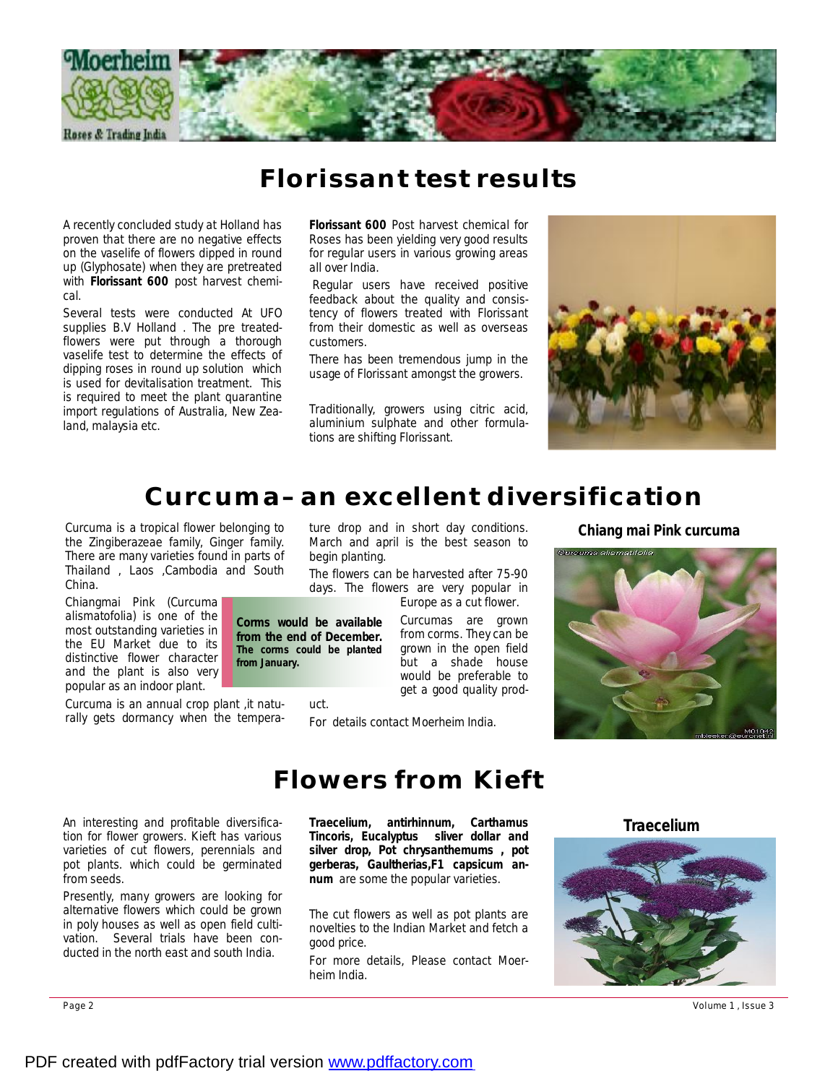

### **Florissant test results**

A recently concluded study at Holland has proven that there are no negative effects on the vaselife of flowers dipped in round up (Glyphosate) when they are pretreated with **Florissant 600** post harvest chemical.

Several tests were conducted At UFO supplies B.V Holland . The pre treatedflowers were put through a thorough vaselife test to determine the effects of dipping roses in round up solution which is used for devitalisation treatment. This is required to meet the plant quarantine import regulations of Australia, New Zealand, malaysia etc.

**Florissant 600** Post harvest chemical for Roses has been yielding very good results for regular users in various growing areas all over India.

Regular users have received positive feedback about the quality and consistency of flowers treated with Florissant from their domestic as well as overseas customers.

There has been tremendous jump in the usage of Florissant amongst the growers.

Traditionally, growers using citric acid, aluminium sulphate and other formulations are shifting Florissant.



## **Curcuma– an excellent diversification**

the *Zingiberazeae* family, Ginger family. There are many varieties found in parts of Thailand , Laos ,Cambodia and South China.

Chiangmai Pink (*Curcuma alismatofolia)* is one of the most outstanding varieties in the EU Market due to its distinctive flower character and the plant is also very popular as an indoor plant.

Curcuma is an annual crop plant ,it naturally gets dormancy when the tempera-

An interesting and profitable diversification for flower growers. Kieft has various varieties of cut flowers, perennials and pot plants. which could be germinated from seeds.

Presently, many growers are looking for alternative flowers which could be grown in poly houses as well as open field cultivation. Several trials have been conducted in the north east and south India.

ture drop and in short day conditions. Curcuma is a tropical flower belonging to **Chiang mai Pink curcuma** March and april is the best season to begin planting.

> The flowers can be harvested after 75-90 days. The flowers are very popular in Europe as a cut flower.

Curcumas are grown from corms. They can be grown in the open field but a shade house would be preferable to get a good quality prod-**Corms would be available from the end of December. The corms could be planted** 

For details contact Moerheim India.

uct.

**from January.** 



### **Flowers from Kieft**

*Traecelium, antirhinnum, Carthamus Tincoris, Eucalyptus sliver dollar and silver drop, Pot chrysanthemums , pot gerberas, Gaultherias,F1 capsicum annum* are some the popular varieties.

The cut flowers as well as pot plants are novelties to the Indian Market and fetch a good price.

For more details, Please contact Moerheim India.

**Traecelium**

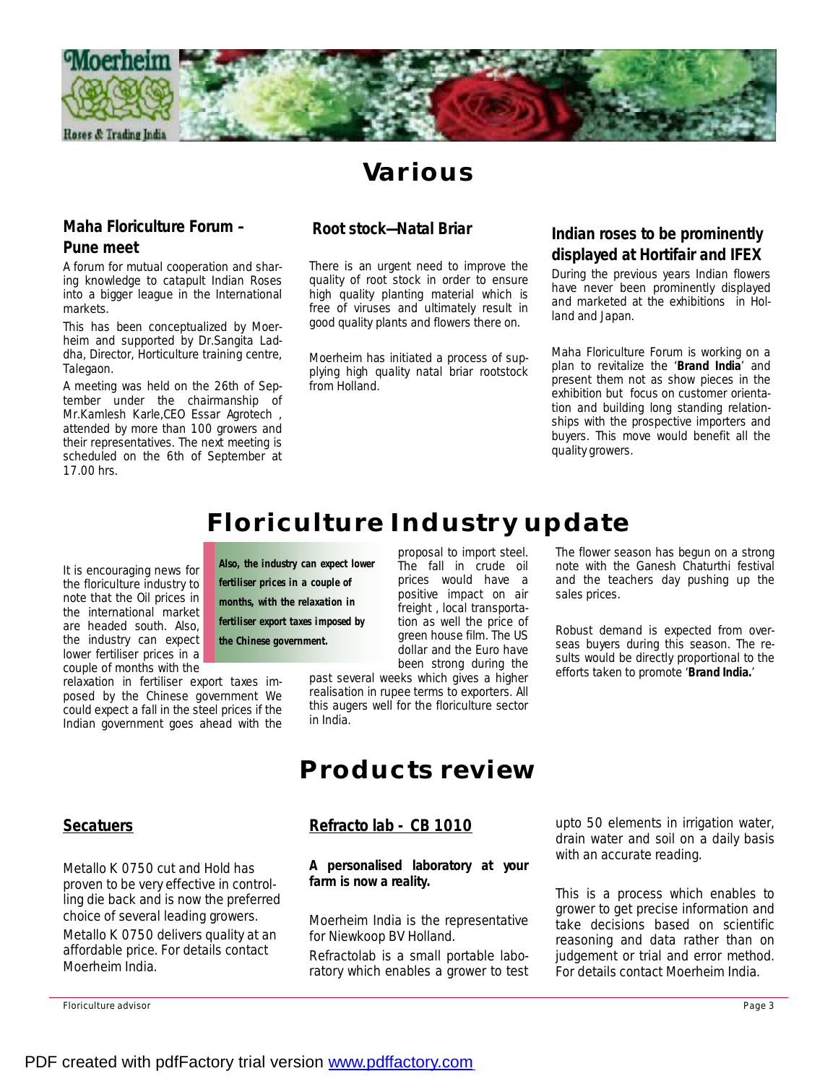

## **Various**

#### **Maha Floriculture Forum – Pune meet**

A forum for mutual cooperation and sharing knowledge to catapult Indian Roses into a bigger league in the International markets.

This has been conceptualized by Moerheim and supported by Dr.Sangita Laddha, Director, Horticulture training centre, Talegaon.

A meeting was held on the 26th of September under the chairmanship of Mr.Kamlesh Karle,CEO Essar Agrotech , attended by more than 100 growers and their representatives. The next meeting is scheduled on the 6th of September at 17.00 hrs.

#### **Root stock—Natal Briar**

There is an urgent need to improve the quality of root stock in order to ensure high quality planting material which is free of viruses and ultimately result in good quality plants and flowers there on.

Moerheim has initiated a process of supplying high quality natal briar rootstock from Holland.

### **Indian roses to be prominently displayed at Hortifair and IFEX**

During the previous years Indian flowers have never been prominently displayed and marketed at the exhibitions in Holland and Japan.

Maha Floriculture Forum is working on a plan to revitalize the '**Brand India**' and present them not as show pieces in the exhibition but focus on customer orientation and building long standing relationships with the prospective importers and buyers. This move would benefit all the quality growers.

## **Floriculture Industry update**

proposal to import steel. The fall in crude oil prices would have a positive impact on air freight , local transportation as well the price of

It is encouraging news for the floriculture industry to note that the Oil prices in the international market are headed south. Also, the industry can expect lower fertiliser prices in a couple of months with the

relaxation in fertiliser export taxes imposed by the Chinese government We could expect a fall in the steel prices if the Indian government goes ahead with the

**Also, the industry can expect lower fertiliser prices in a couple of months, with the relaxation in fertiliser export taxes imposed by** 

**the Chinese government.** 

green house film. The US dollar and the Euro have been strong during the past several weeks which gives a higher realisation in rupee terms to exporters. All this augers well for the floriculture sector in India.

The flower season has begun on a strong note with the Ganesh Chaturthi festival and the teachers day pushing up the sales prices.

Robust demand is expected from overseas buyers during this season. The results would be directly proportional to the efforts taken to promote '**Brand India.**'

# **Products review**

#### **Refracto lab - CB 1010**

*A personalised laboratory at your farm is now a reality.* 

Moerheim India is the representative for Niewkoop BV Holland.

Refractolab is a small portable laboratory which enables a grower to test upto 50 elements in irrigation water, drain water and soil on a daily basis with an accurate reading.

This is a process which enables to grower to get precise information and take decisions based on scientific reasoning and data rather than on judgement or trial and error method. For details contact Moerheim India.

### **Secatuers**

Metallo K 0750 cut and Hold has proven to be very effective in controlling die back and is now the preferred choice of several leading growers.

Metallo K 0750 delivers quality at an affordable price. For details contact Moerheim India.

Floriculture advisor